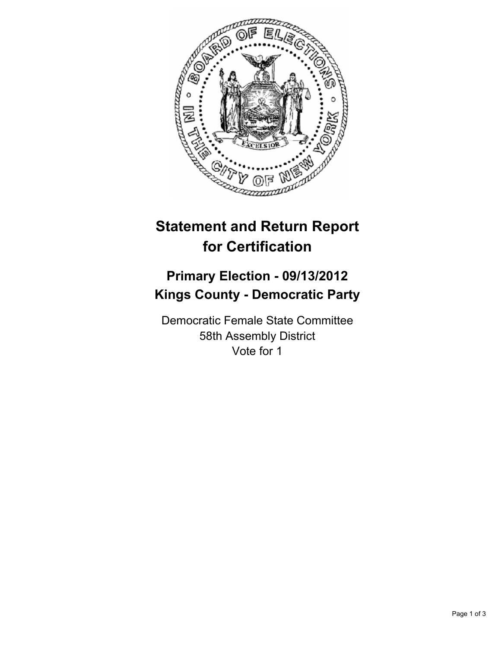

## **Statement and Return Report for Certification**

## **Primary Election - 09/13/2012 Kings County - Democratic Party**

Democratic Female State Committee 58th Assembly District Vote for 1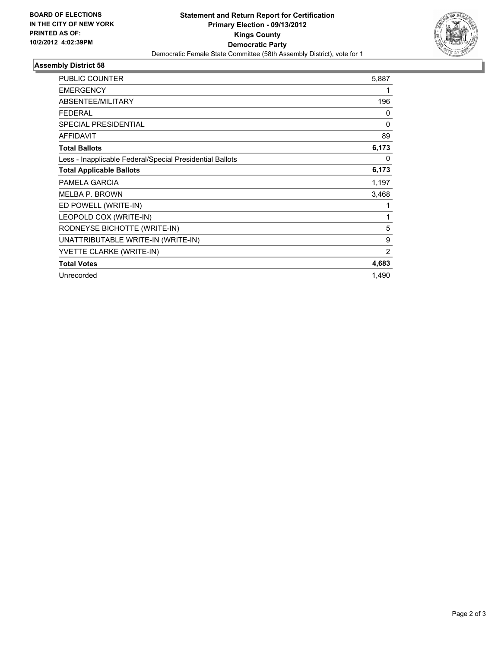

## **Assembly District 58**

| <b>PUBLIC COUNTER</b>                                    | 5,887 |
|----------------------------------------------------------|-------|
| <b>EMERGENCY</b>                                         | 1     |
| ABSENTEE/MILITARY                                        | 196   |
| <b>FEDERAL</b>                                           | 0     |
| <b>SPECIAL PRESIDENTIAL</b>                              | 0     |
| <b>AFFIDAVIT</b>                                         | 89    |
| <b>Total Ballots</b>                                     | 6,173 |
| Less - Inapplicable Federal/Special Presidential Ballots | 0     |
| <b>Total Applicable Ballots</b>                          | 6,173 |
| PAMELA GARCIA                                            | 1,197 |
| <b>MELBA P. BROWN</b>                                    | 3,468 |
| ED POWELL (WRITE-IN)                                     |       |
| LEOPOLD COX (WRITE-IN)                                   | 1     |
| RODNEYSE BICHOTTE (WRITE-IN)                             | 5     |
| UNATTRIBUTABLE WRITE-IN (WRITE-IN)                       | 9     |
| YVETTE CLARKE (WRITE-IN)                                 | 2     |
| <b>Total Votes</b>                                       | 4,683 |
| Unrecorded                                               | 1,490 |